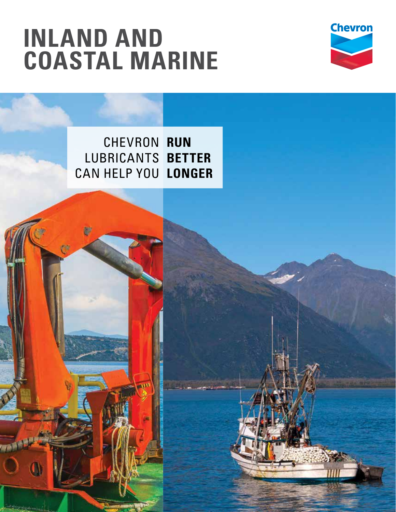# **Inland and coastal Marine**

b)



Chevron **run** Lubricants **better** CAN help you **longer**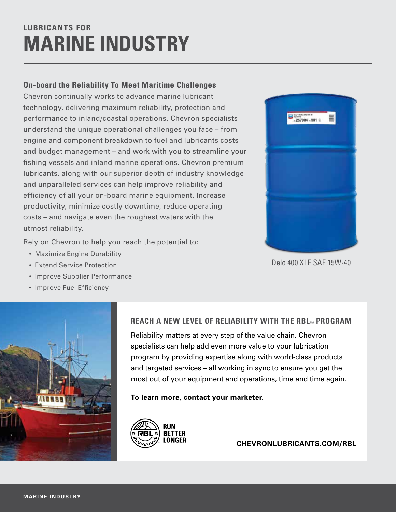## **Lubrica nts for Marine INDUSTRY**

#### **On-board the Reliability To Meet Maritime Challenges**

Chevron continually works to advance marine lubricant technology, delivering maximum reliability, protection and performance to inland/coastal operations. Chevron specialists understand the unique operational challenges you face – from engine and component breakdown to fuel and lubricants costs and budget management – and work with you to streamline your fishing vessels and inland marine operations. Chevron premium lubricants, along with our superior depth of industry knowledge and unparalleled services can help improve reliability and efficiency of all your on-board marine equipment. Increase productivity, minimize costly downtime, reduce operating costs – and navigate even the roughest waters with the utmost reliability.

Rely on Chevron to help you reach the potential to:

- Maximize Engine Durability
- • Extend Service Protection
- Improve Supplier Performance
- • Improve Fuel Efficiency



#### **REACH A NEW LEVEL OF RELIABILITY WITH THE RBL™ PROGRAM**

Reliability matters at every step of the value chain. Chevron specialists can help add even more value to your lubrication program by providing expertise along with world-class products and targeted services – all working in sync to ensure you get the most out of your equipment and operations, time and time again.

**To learn more, contact your marketer.**



**chevronlubricants.com/RBL**



Delo 400 XLE SAE 15W-40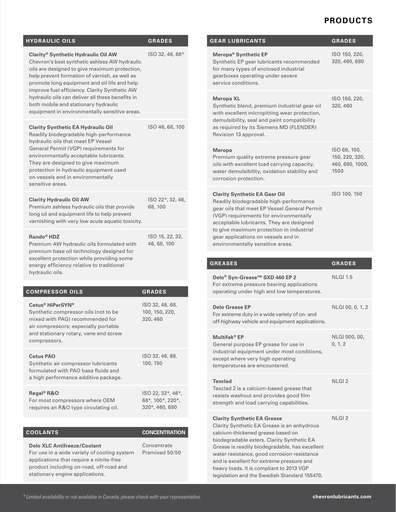#### **Products**

| <b>HYDRAULIC OILS</b>                                                                                                                                                                                                                                                                                                                                                                                                                | <b>GRADES</b>                                           |
|--------------------------------------------------------------------------------------------------------------------------------------------------------------------------------------------------------------------------------------------------------------------------------------------------------------------------------------------------------------------------------------------------------------------------------------|---------------------------------------------------------|
| Clarity® Synthetic Hydraulic Oil AW<br>Chevron's best synthetic ashless AW hydraulic<br>oils are designed to give maximum protection,<br>help prevent formation of varnish, as well as<br>promote long equipment and oil life and help<br>improve fuel efficiency. Clarity Synthetic AW<br>hydraulic oils can deliver all these benefits in<br>both mobile and stationary hydraulic<br>equipment in environmentally sensitive areas. | ISO 32, 46, 68*                                         |
| <b>Clarity Synthetic EA Hydraulic Oil</b><br>Readily biodegradable high-performance<br>hydraulic oils that meet EP Vessel<br>General Permit (VGP) requirements for<br>environmentally acceptable lubricants.<br>They are designed to give maximum<br>protection in hydraulic equipment used<br>on vessels and in environmentally<br>sensitive areas.                                                                                 | ISO 46, 68, 100                                         |
| <b>Clarity Hydraulic Oil AW</b><br>Premium ashless hydraulic oils that provide<br>long oil and equipment life to help prevent<br>varnishing with very low acute aquatic toxicity.                                                                                                                                                                                                                                                    | ISO 22*, 32, 46,<br>68, 100                             |
| Rando <sup>®</sup> HDZ<br>Premium AW hydraulic oils formulated with<br>premium base oil technology designed for<br>excellent protection while providing some<br>energy efficiency relative to traditional<br>hydraulic oils.                                                                                                                                                                                                         | ISO 15, 22, 32,<br>46, 68, 100                          |
| <b>COMPRESSOR OILS</b>                                                                                                                                                                                                                                                                                                                                                                                                               | <b>GRADES</b>                                           |
| Cetus® HiPerSYN®<br>Synthetic compressor oils (not to be<br>mixed with PAG) recommended for<br>air compressors; especially portable<br>and stationary rotary, vane and screw<br>compressors.                                                                                                                                                                                                                                         | ISO 32, 46, 68,<br>100, 150, 220,<br>320, 460           |
| Cetus PAO<br>Synthetic air compressor lubricants<br>formulated with PAO base fluids and<br>a high performance additive package.                                                                                                                                                                                                                                                                                                      | ISO 32, 46, 68,<br>100, 150                             |
| Regal <sup>®</sup> R&O<br>For most compressors where OEM<br>requires an R&O type circulating oil.                                                                                                                                                                                                                                                                                                                                    | ISO 22, 32*, 46*,<br>68*, 100*, 220*,<br>320*, 460, 680 |
| <b>COOLANTS</b>                                                                                                                                                                                                                                                                                                                                                                                                                      | <b>CONCENTRATION</b>                                    |

| <b>Delo XLC Antifreeze/Coolant</b>          | Concentrate    |
|---------------------------------------------|----------------|
| For use in a wide variety of cooling system | Premixed 50/50 |
| applications that require a nitrite-free    |                |
| product including on-road, off-road and     |                |
| stationary engine applications.             |                |

| GEAR LUBRICANTS                                                                                                                                                                                                                                                                                                                             | <b>GRADES</b>                                             |
|---------------------------------------------------------------------------------------------------------------------------------------------------------------------------------------------------------------------------------------------------------------------------------------------------------------------------------------------|-----------------------------------------------------------|
| Meropa <sup>®</sup> Synthetic EP<br>Synthetic EP gear lubricants recommended<br>for many types of enclosed industrial<br>gearboxes operating under severe<br>service conditions.                                                                                                                                                            | ISO 150, 220,<br>320, 460, 680                            |
| <b>Meropa XL</b><br>Synthetic blend, premium industrial gear oil<br>with excellent micropitting wear protection,<br>demulsibility, seal and paint compatibility<br>as required by its Siemens MD (FLENDER)<br>Revision 13 approval.                                                                                                         | ISO 150, 220,<br>320, 460                                 |
| <b>Meropa</b><br>Premium quality extreme pressure gear<br>oils with excellent load carrying capacity,<br>water demulsibility, oxidation stability and<br>corrosion protection.                                                                                                                                                              | ISO 68, 100,<br>150, 220, 320,<br>460, 680, 1000,<br>1500 |
| <b>Clarity Synthetic EA Gear Oil</b><br>Readily biodegradable high-performance<br>gear oils that meet EP Vessel General Permit<br>(VGP) requirements for environmentally<br>acceptable lubricants. They are designed<br>to give maximum protection in industrial<br>gear applications on vessels and in<br>environmentally sensitive areas. | ISO 100, 150                                              |

| <b>GREASES</b>                                                                                                                                                                                                                                                                                                                                                                                                 | <b>GRADES</b>            |
|----------------------------------------------------------------------------------------------------------------------------------------------------------------------------------------------------------------------------------------------------------------------------------------------------------------------------------------------------------------------------------------------------------------|--------------------------|
| Delo® Syn-Grease™ SXD 460 EP 2<br>For extreme pressure bearing applications<br>operating under high and low temperatures.                                                                                                                                                                                                                                                                                      | <b>NLGI 1.5</b>          |
| <b>Delo Grease EP</b><br>For extreme duty in a wide variety of on- and<br>off-highway vehicle and equipment applications.                                                                                                                                                                                                                                                                                      | NLGI 00, 0, 1, 2         |
| Multifak® EP<br>General purpose EP grease for use in<br>industrial equipment under most conditions,<br>except where very high operating<br>temperatures are encountered.                                                                                                                                                                                                                                       | NLGI 000, 00,<br>0, 1, 2 |
| <b>Texclad</b><br>Texclad 2 is a calcium-based grease that<br>resists washout and provides good film<br>strength and load carrying capabilities.                                                                                                                                                                                                                                                               | NLGI <sub>2</sub>        |
| <b>Clarity Synthetic EA Grease</b><br>Clarity Synthetic EA Grease is an anhydrous<br>calcium-thickened grease based on<br>biodegradable esters. Clarity Synthetic EA<br>Grease is readily biodegradable, has excellent<br>water resistance, good corrosion resistance<br>and is excellent for extreme pressure and<br>heavy loads. It is compliant to 2013 VGP<br>legislation and the Swedish Standard 155470. | $NI$ GI $2$              |